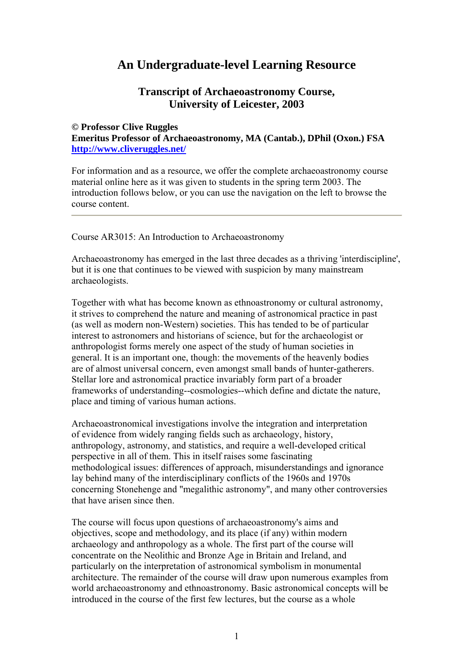## **An Undergraduate-level Learning Resource**

## **Transcript of Archaeoastronomy Course, University of Leicester, 2003**

### **© Professor Clive Ruggles**

**Emeritus Professor of Archaeoastronomy, MA (Cantab.), DPhil (Oxon.) FSA <http://www.cliveruggles.net/>**

For information and as a resource, we offer the complete archaeoastronomy course material online here as it was given to students in the spring term 2003. The introduction follows below, or you can use the navigation on the left to browse the course content.

Course AR3015: An Introduction to Archaeoastronomy

Archaeoastronomy has emerged in the last three decades as a thriving 'interdiscipline', but it is one that continues to be viewed with suspicion by many mainstream archaeologists.

Together with what has become known as ethnoastronomy or cultural astronomy, it strives to comprehend the nature and meaning of astronomical practice in past (as well as modern non-Western) societies. This has tended to be of particular interest to astronomers and historians of science, but for the archaeologist or anthropologist forms merely one aspect of the study of human societies in general. It is an important one, though: the movements of the heavenly bodies are of almost universal concern, even amongst small bands of hunter-gatherers. Stellar lore and astronomical practice invariably form part of a broader frameworks of understanding--cosmologies--which define and dictate the nature, place and timing of various human actions.

Archaeoastronomical investigations involve the integration and interpretation of evidence from widely ranging fields such as archaeology, history, anthropology, astronomy, and statistics, and require a well-developed critical perspective in all of them. This in itself raises some fascinating methodological issues: differences of approach, misunderstandings and ignorance lay behind many of the interdisciplinary conflicts of the 1960s and 1970s concerning Stonehenge and "megalithic astronomy", and many other controversies that have arisen since then.

The course will focus upon questions of archaeoastronomy's aims and objectives, scope and methodology, and its place (if any) within modern archaeology and anthropology as a whole. The first part of the course will concentrate on the Neolithic and Bronze Age in Britain and Ireland, and particularly on the interpretation of astronomical symbolism in monumental architecture. The remainder of the course will draw upon numerous examples from world archaeoastronomy and ethnoastronomy. Basic astronomical concepts will be introduced in the course of the first few lectures, but the course as a whole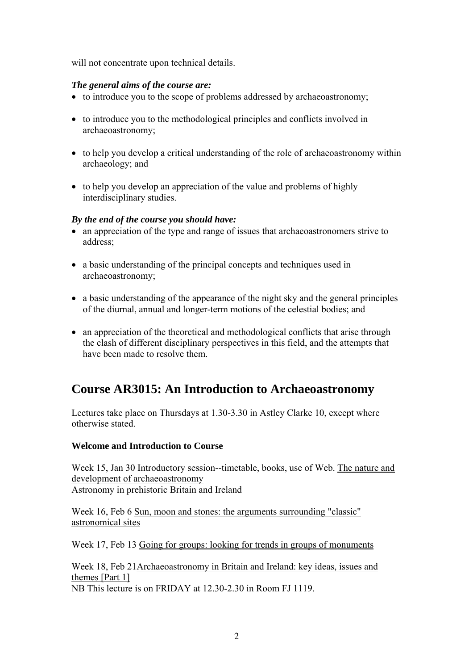will not concentrate upon technical details.

## *The general aims of the course are:*

- to introduce you to the scope of problems addressed by archaeoastronomy;
- to introduce you to the methodological principles and conflicts involved in archaeoastronomy;
- to help you develop a critical understanding of the role of archaeoastronomy within archaeology; and
- to help you develop an appreciation of the value and problems of highly interdisciplinary studies.

## *By the end of the course you should have:*

- an appreciation of the type and range of issues that archaeoastronomers strive to address;
- a basic understanding of the principal concepts and techniques used in archaeoastronomy;
- a basic understanding of the appearance of the night sky and the general principles of the diurnal, annual and longer-term motions of the celestial bodies; and
- an appreciation of the theoretical and methodological conflicts that arise through the clash of different disciplinary perspectives in this field, and the attempts that have been made to resolve them.

## **Course AR3015: An Introduction to Archaeoastronomy**

Lectures take place on Thursdays at 1.30-3.30 in Astley Clarke 10, except where otherwise stated.

## **Welcome and Introduction to Course**

Week 15, Jan 30 Introductory session--timetable, books, use of Web. [The nature and](http://www.le.ac.uk/has/cr/oldrug/aa/a3015/lec3.html)  [development of archaeoastronomy](http://www.le.ac.uk/has/cr/oldrug/aa/a3015/lec3.html)  Astronomy in prehistoric Britain and Ireland

Week 16, Feb 6 [Sun, moon and stones: the arguments surrounding "classic"](http://www.le.ac.uk/has/cr/oldrug/aa/a3015/lec2.html)  [astronomical sites](http://www.le.ac.uk/has/cr/oldrug/aa/a3015/lec2.html)

Week 17, Feb 13 [Going for groups: looking for trends in groups of monuments](http://www.le.ac.uk/has/cr/oldrug/aa/a3015/lec3.html)

Week 18, Feb 21[Archaeoastronomy in Britain and Ireland: key ideas, issues and](http://www.le.ac.uk/has/cr/oldrug/aa/a3015/lec4n5.html)  [themes \[Part 1\]](http://www.le.ac.uk/has/cr/oldrug/aa/a3015/lec4n5.html) NB This lecture is on FRIDAY at 12.30-2.30 in Room FJ 1119.

 $\overline{2}$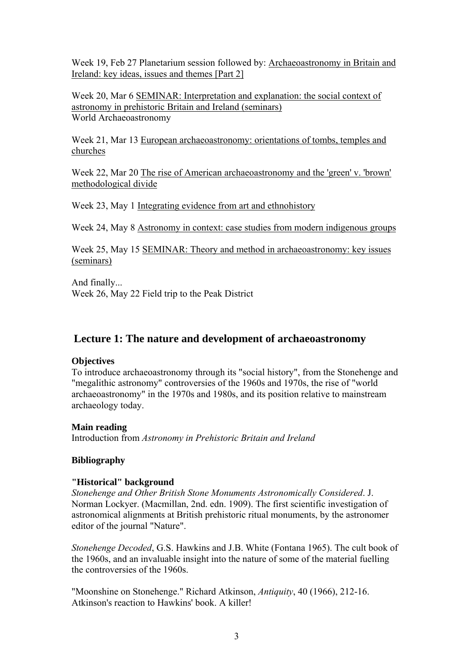Week 19, Feb 27 Planetarium session followed by: [Archaeoastronomy in Britain and](http://www.le.ac.uk/has/cr/oldrug/aa/a3015/lec4n5.html)  [Ireland: key ideas, issues and themes \[Part 2\]](http://www.le.ac.uk/has/cr/oldrug/aa/a3015/lec4n5.html)

Week 20, Mar 6 [SEMINAR: Interpretation and explanation: the social context of](http://www.le.ac.uk/has/cr/oldrug/aa/a3015/sem1.html)  [astronomy in prehistoric Britain and Ireland \(seminars\)](http://www.le.ac.uk/has/cr/oldrug/aa/a3015/sem1.html)  World Archaeoastronomy

Week 21, Mar 13 [European archaeoastronomy: orientations of tombs, temples and](http://www.le.ac.uk/has/cr/oldrug/aa/a3015/lec6.html)  [churches](http://www.le.ac.uk/has/cr/oldrug/aa/a3015/lec6.html)

Week 22, Mar 20 [The rise of American archaeoastronomy and the 'green' v. 'brown'](http://www.le.ac.uk/has/cr/oldrug/aa/a3015/lec7.html) [methodological divide](http://www.le.ac.uk/has/cr/oldrug/aa/a3015/lec7.html)

Week 23, May 1 [Integrating evidence from art and ethnohistory](http://www.le.ac.uk/has/cr/oldrug/aa/a3015/lec8.html)

Week 24, May 8 [Astronomy in context: case studies from modern indigenous groups](http://www.le.ac.uk/has/cr/oldrug/aa/a3015/lec9.html)

Week 25, May 15 [SEMINAR: Theory and method in archaeoastronomy: key issues](http://www.le.ac.uk/has/cr/oldrug/aa/a3015/sem2.html)  [\(seminars\)](http://www.le.ac.uk/has/cr/oldrug/aa/a3015/sem2.html)

And finally... Week 26, May 22 Field trip to the Peak District

## **Lecture 1: The nature and development of archaeoastronomy**

#### **Objectives**

To introduce archaeoastronomy through its "social history", from the Stonehenge and "megalithic astronomy" controversies of the 1960s and 1970s, the rise of "world archaeoastronomy" in the 1970s and 1980s, and its position relative to mainstream archaeology today.

#### **Main reading**

Introduction from *Astronomy in Prehistoric Britain and Ireland* 

## **Bibliography**

#### **"Historical" background**

*Stonehenge and Other British Stone Monuments Astronomically Considered*. J. Norman Lockyer. (Macmillan, 2nd. edn. 1909). The first scientific investigation of astronomical alignments at British prehistoric ritual monuments, by the astronomer editor of the journal "Nature".

*Stonehenge Decoded*, G.S. Hawkins and J.B. White (Fontana 1965). The cult book of the 1960s, and an invaluable insight into the nature of some of the material fuelling the controversies of the 1960s.

"Moonshine on Stonehenge." Richard Atkinson, *Antiquity*, 40 (1966), 212-16. Atkinson's reaction to Hawkins' book. A killer!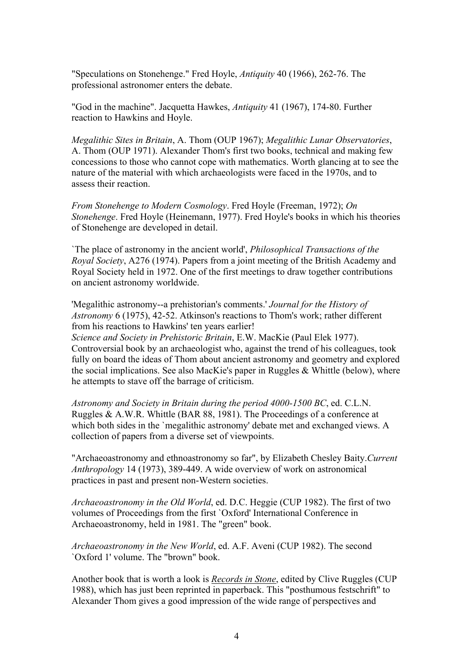"Speculations on Stonehenge." Fred Hoyle, *Antiquity* 40 (1966), 262-76. The professional astronomer enters the debate.

"God in the machine". Jacquetta Hawkes, *Antiquity* 41 (1967), 174-80. Further reaction to Hawkins and Hoyle.

*Megalithic Sites in Britain*, A. Thom (OUP 1967); *Megalithic Lunar Observatories*, A. Thom (OUP 1971). Alexander Thom's first two books, technical and making few concessions to those who cannot cope with mathematics. Worth glancing at to see the nature of the material with which archaeologists were faced in the 1970s, and to assess their reaction.

*From Stonehenge to Modern Cosmology*. Fred Hoyle (Freeman, 1972); *On Stonehenge*. Fred Hoyle (Heinemann, 1977). Fred Hoyle's books in which his theories of Stonehenge are developed in detail.

`The place of astronomy in the ancient world', *Philosophical Transactions of the Royal Society*, A276 (1974). Papers from a joint meeting of the British Academy and Royal Society held in 1972. One of the first meetings to draw together contributions on ancient astronomy worldwide.

'Megalithic astronomy--a prehistorian's comments.' *Journal for the History of Astronomy* 6 (1975), 42-52. Atkinson's reactions to Thom's work; rather different from his reactions to Hawkins' ten years earlier! *Science and Society in Prehistoric Britain*, E.W. MacKie (Paul Elek 1977).

Controversial book by an archaeologist who, against the trend of his colleagues, took fully on board the ideas of Thom about ancient astronomy and geometry and explored the social implications. See also MacKie's paper in Ruggles & Whittle (below), where he attempts to stave off the barrage of criticism.

*Astronomy and Society in Britain during the period 4000-1500 BC*, ed. C.L.N. Ruggles & A.W.R. Whittle (BAR 88, 1981). The Proceedings of a conference at which both sides in the `megalithic astronomy' debate met and exchanged views. A collection of papers from a diverse set of viewpoints.

"Archaeoastronomy and ethnoastronomy so far", by Elizabeth Chesley Baity.*Current Anthropology* 14 (1973), 389-449. A wide overview of work on astronomical practices in past and present non-Western societies.

*Archaeoastronomy in the Old World*, ed. D.C. Heggie (CUP 1982). The first of two volumes of Proceedings from the first `Oxford' International Conference in Archaeoastronomy, held in 1981. The "green" book.

*Archaeoastronomy in the New World*, ed. A.F. Aveni (CUP 1982). The second `Oxford 1' volume. The "brown" book.

Another book that is worth a look is *[Records in Stone](http://titles.cambridge.org/catalogue.asp?isbn=0521531306)*, edited by Clive Ruggles (CUP 1988), which has just been reprinted in paperback. This "posthumous festschrift" to Alexander Thom gives a good impression of the wide range of perspectives and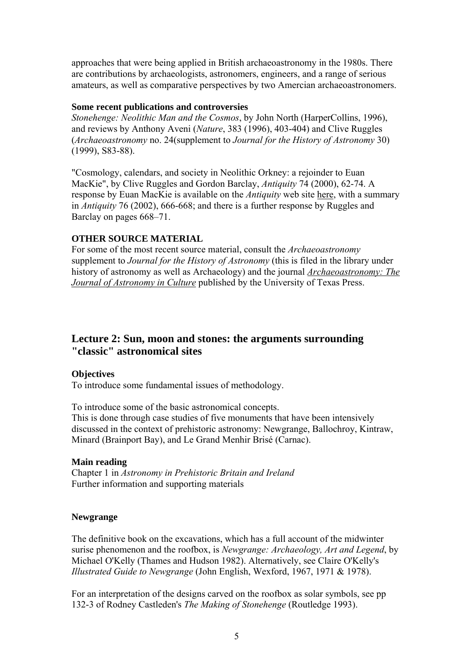approaches that were being applied in British archaeoastronomy in the 1980s. There are contributions by archaeologists, astronomers, engineers, and a range of serious amateurs, as well as comparative perspectives by two Amercian archaeoastronomers.

#### **Some recent publications and controversies**

*Stonehenge: Neolithic Man and the Cosmos*, by John North (HarperCollins, 1996), and reviews by Anthony Aveni (*Nature*, 383 (1996), 403-404) and Clive Ruggles (*Archaeoastronomy* no. 24(supplement to *Journal for the History of Astronomy* 30) (1999), S83-88).

"Cosmology, calendars, and society in Neolithic Orkney: a rejoinder to Euan MacKie", by Clive Ruggles and Gordon Barclay, *Antiquity* 74 (2000), 62-74. A response by Euan MacKie is available on the *Antiquity* web site [here,](http://intarch.ac.uk/antiquity/mackie02.html) with a summary in *Antiquity* 76 (2002), 666-668; and there is a further response by Ruggles and Barclay on pages 668–71.

## **OTHER SOURCE MATERIAL**

For some of the most recent source material, consult the *Archaeoastronomy* supplement to *Journal for the History of Astronomy* (this is filed in the library under history of astronomy as well as Archaeology) and the journal *[Archaeoastronomy: The](http://www.wam.umd.edu/~tlaloc/archastro/journal.html)  [Journal of Astronomy in Culture](http://www.wam.umd.edu/~tlaloc/archastro/journal.html)* published by the University of Texas Press.

## **Lecture 2: Sun, moon and stones: the arguments surrounding "classic" astronomical sites**

## **Objectives**

To introduce some fundamental issues of methodology.

To introduce some of the basic astronomical concepts.

This is done through case studies of five monuments that have been intensively discussed in the context of prehistoric astronomy: Newgrange, Ballochroy, Kintraw, Minard (Brainport Bay), and Le Grand Menhir Brisé (Carnac).

## **Main reading**

Chapter 1 in *Astronomy in Prehistoric Britain and Ireland*  Further information and supporting materials

## **Newgrange**

The definitive book on the excavations, which has a full account of the midwinter surise phenomenon and the roofbox, is *Newgrange: Archaeology, Art and Legend*, by Michael O'Kelly (Thames and Hudson 1982). Alternatively, see Claire O'Kelly's *Illustrated Guide to Newgrange* (John English, Wexford, 1967, 1971 & 1978).

For an interpretation of the designs carved on the roofbox as solar symbols, see pp 132-3 of Rodney Castleden's *The Making of Stonehenge* (Routledge 1993).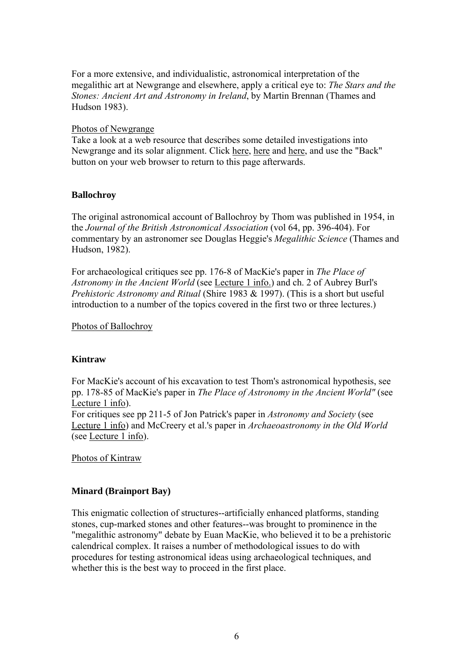For a more extensive, and individualistic, astronomical interpretation of the megalithic art at Newgrange and elsewhere, apply a critical eye to: *The Stars and the Stones: Ancient Art and Astronomy in Ireland*, by Martin Brennan (Thames and Hudson 1983).

## [Photos of Newgrange](http://www.le.ac.uk/has/cr/oldrug/aa/a3015/fotos1.html)

Take a look at a web resource that describes some detailed investigations into Newgrange and its solar alignment. Click [here,](http://www.iol.ie/~geniet/eng/newgrang.htm) [here](http://www.iol.ie/~geniet/eng/roofbox.htm) and [here](http://www.iol.ie/~geniet/eng/top.htm), and use the "Back" button on your web browser to return to this page afterwards.

## **Ballochroy**

The original astronomical account of Ballochroy by Thom was published in 1954, in the *Journal of the British Astronomical Association* (vol 64, pp. 396-404). For commentary by an astronomer see Douglas Heggie's *Megalithic Science* (Thames and Hudson, 1982).

For archaeological critiques see pp. 176-8 of MacKie's paper in *The Place of Astronomy in the Ancient World* (see [Lecture 1 info.\)](http://www.le.ac.uk/has/cr/oldrug/aa/a3015/lec1.html) and ch. 2 of Aubrey Burl's *Prehistoric Astronomy and Ritual* (Shire 1983 & 1997). (This is a short but useful introduction to a number of the topics covered in the first two or three lectures.)

[Photos of Ballochroy](http://www.le.ac.uk/ar/oldrug/aa/a3015/fotos2.html)

## **Kintraw**

For MacKie's account of his excavation to test Thom's astronomical hypothesis, see pp. 178-85 of MacKie's paper in *The Place of Astronomy in the Ancient World"* (see [Lecture 1 info\)](http://www.le.ac.uk/has/cr/oldrug/aa/a3015/lec1.html).

For critiques see pp 211-5 of Jon Patrick's paper in *Astronomy and Society* (see [Lecture 1 info\)](http://www.le.ac.uk/has/cr/oldrug/aa/a3015/lec1.html) and McCreery et al.'s paper in *Archaeoastronomy in the Old World* (see [Lecture 1 info](http://www.le.ac.uk/has/cr/oldrug/aa/a3015/lec1.html)).

[Photos of Kintraw](http://www.le.ac.uk/has/cr/oldrug/aa/a3015/fotos3.html)

## **Minard (Brainport Bay)**

This enigmatic collection of structures--artificially enhanced platforms, standing stones, cup-marked stones and other features--was brought to prominence in the "megalithic astronomy" debate by Euan MacKie, who believed it to be a prehistoric calendrical complex. It raises a number of methodological issues to do with procedures for testing astronomical ideas using archaeological techniques, and whether this is the best way to proceed in the first place.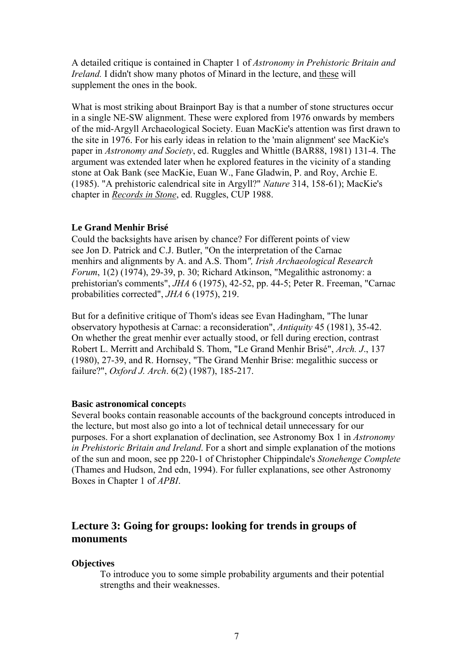A detailed critique is contained in Chapter 1 of *Astronomy in Prehistoric Britain and Ireland.* I didn't show many photos of Minard in the lecture, and [these](http://www.le.ac.uk/has/cr/oldrug/aa/a3015/fotos4.html) will supplement the ones in the book.

What is most striking about Brainport Bay is that a number of stone structures occur in a single NE-SW alignment. These were explored from 1976 onwards by members of the mid-Argyll Archaeological Society. Euan MacKie's attention was first drawn to the site in 1976. For his early ideas in relation to the 'main alignment' see MacKie's paper in *Astronomy and Society*, ed. Ruggles and Whittle (BAR88, 1981) 131-4. The argument was extended later when he explored features in the vicinity of a standing stone at Oak Bank (see MacKie, Euan W., Fane Gladwin, P. and Roy, Archie E. (1985). "A prehistoric calendrical site in Argyll?" *Nature* 314, 158-61); MacKie's chapter in *[Records in Stone](http://titles.cambridge.org/catalogue.asp?isbn=0521531306)*, ed. Ruggles, CUP 1988.

#### **[L](http://www.le.ac.uk/archaeology/rug/image_collection/cd12/015.html)e Grand Menhir Brisé**

[Could the backsights have arisen by chance? For different points of view](http://www.le.ac.uk/archaeology/rug/image_collection/cd12/015.html)  [see Jon D. Patrick and C.J. Butler, "On the interpretation of the Carnac](http://www.le.ac.uk/archaeology/rug/image_collection/cd12/015.html)  [menhirs and alignments by A. and A.S. Thom](http://www.le.ac.uk/archaeology/rug/image_collection/cd12/015.html)*", Irish Archaeological Research Forum*[, 1\(2\) \(1974\), 29-39, p. 30; Richard Atkinson, "Megalithic astronomy: a](http://www.le.ac.uk/archaeology/rug/image_collection/cd12/015.html)  prehistorian's comments", *JHA* [6 \(1975\), 42-52, pp. 44-5; Peter R. Freeman, "Carnac](http://www.le.ac.uk/archaeology/rug/image_collection/cd12/015.html)  [probabilities corrected",](http://www.le.ac.uk/archaeology/rug/image_collection/cd12/015.html) *JHA* 6 (1975), 219.

But for a definitive critique of Thom's ideas see Evan Hadingham, "The lunar observatory hypothesis at Carnac: a reconsideration", *Antiquity* 45 (1981), 35-42. On whether the great menhir ever actually stood, or fell during erection, contrast Robert L. Merritt and Archibald S. Thom, "Le Grand Menhir Brisé", *Arch. J*., 137 (1980), 27-39, and R. Hornsey, "The Grand Menhir Brise: megalithic success or failure?", *Oxford J. Arch*. 6(2) (1987), 185-217.

#### **Basic astronomical concept**s

Several books contain reasonable accounts of the background concepts introduced in the lecture, but most also go into a lot of technical detail unnecessary for our purposes. For a short explanation of declination, see Astronomy Box 1 in *Astronomy in Prehistoric Britain and Ireland*. For a short and simple explanation of the motions of the sun and moon, see pp 220-1 of Christopher Chippindale's *Stonehenge Complete* (Thames and Hudson, 2nd edn, 1994). For fuller explanations, see other Astronomy Boxes in Chapter 1 of *APBI*.

## **Lecture 3: Going for groups: looking for trends in groups of monuments**

#### **Objectives**

To introduce you to some simple probability arguments and their potential strengths and their weaknesses.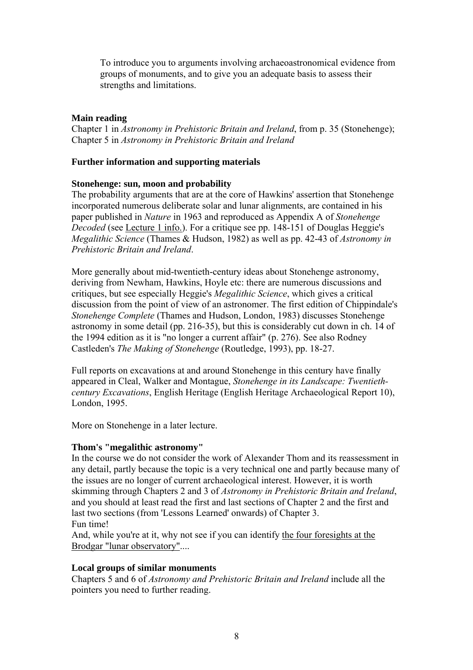To introduce you to arguments involving archaeoastronomical evidence from groups of monuments, and to give you an adequate basis to assess their strengths and limitations.

## **Main reading**

Chapter 1 in *Astronomy in Prehistoric Britain and Ireland*, from p. 35 (Stonehenge); Chapter 5 in *Astronomy in Prehistoric Britain and Ireland* 

## **Further information and supporting materials**

## **Stonehenge: sun, moon and probability**

The probability arguments that are at the core of Hawkins' assertion that Stonehenge incorporated numerous deliberate solar and lunar alignments, are contained in his paper published in *Nature* in 1963 and reproduced as Appendix A of *Stonehenge Decoded* (see [Lecture 1 info.\)](http://www.le.ac.uk/has/cr/oldrug/aa/a3015/lec1.html). For a critique see pp. 148-151 of Douglas Heggie's *Megalithic Science* (Thames & Hudson, 1982) as well as pp. 42-43 of *Astronomy in Prehistoric Britain and Ireland*.

More generally about mid-twentieth-century ideas about Stonehenge astronomy, deriving from Newham, Hawkins, Hoyle etc: there are numerous discussions and critiques, but see especially Heggie's *Megalithic Science*, which gives a critical discussion from the point of view of an astronomer. The first edition of Chippindale's *Stonehenge Complete* (Thames and Hudson, London, 1983) discusses Stonehenge astronomy in some detail (pp. 216-35), but this is considerably cut down in ch. 14 of the 1994 edition as it is "no longer a current affair" (p. 276). See also Rodney Castleden's *The Making of Stonehenge* (Routledge, 1993), pp. 18-27.

Full reports on excavations at and around Stonehenge in this century have finally appeared in Cleal, Walker and Montague, *Stonehenge in its Landscape: Twentiethcentury Excavations*, English Heritage (English Heritage Archaeological Report 10), London, 1995.

More on Stonehenge in a later lecture.

## **Thom's "megalithic astronomy"**

In the course we do not consider the work of Alexander Thom and its reassessment in any detail, partly because the topic is a very technical one and partly because many of the issues are no longer of current archaeological interest. However, it is worth skimming through Chapters 2 and 3 of *Astronomy in Prehistoric Britain and Ireland*, and you should at least read the first and last sections of Chapter 2 and the first and last two sections (from 'Lessons Learned' onwards) of Chapter 3. Fun time!

And, while you're at it, why not see if you can identify [the four foresights at the](http://www.le.ac.uk/has/cr/oldrug/aa/a3015/fotos5.html)  [Brodgar "lunar observatory".](http://www.le.ac.uk/has/cr/oldrug/aa/a3015/fotos5.html)...

## **Local groups of similar monuments**

Chapters 5 and 6 of *Astronomy and Prehistoric Britain and Ireland* include all the pointers you need to further reading.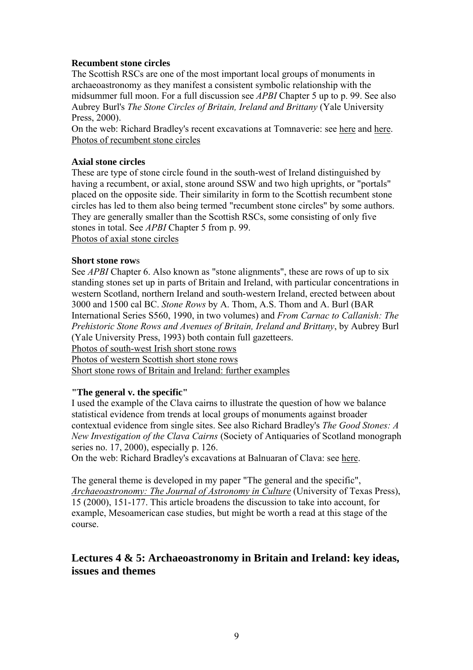## **Recumbent stone circles**

The Scottish RSCs are one of the most important local groups of monuments in archaeoastronomy as they manifest a consistent symbolic relationship with the midsummer full moon. For a full discussion see *APBI* Chapter 5 up to p. 99. See also Aubrey Burl's *The Stone Circles of Britain, Ireland and Brittany* (Yale University Press, 2000).

On the web: Richard Bradley's recent excavations at Tomnaverie: see [here](http://www.rdg.ac.uk/archaeology/Research/Tomnaverie/Tomnaverie.htm) and [here](http://www.users.globalnet.co.uk/~stones/text/tomnav.htm). [Photos of recumbent stone circles](http://www.le.ac.uk/has/cr/oldrug/aa/a3015/fotos6.html)

## **Axial stone circles**

These are type of stone circle found in the south-west of Ireland distinguished by having a recumbent, or axial, stone around SSW and two high uprights, or "portals" placed on the opposite side. Their similarity in form to the Scottish recumbent stone circles has led to them also being termed "recumbent stone circles" by some authors. They are generally smaller than the Scottish RSCs, some consisting of only five stones in total. See *APBI* Chapter 5 from p. 99. [Photos of axial stone circles](http://www.le.ac.uk/has/cr/oldrug/aa/a3015/fotos7.html)

## **Short stone row**s

See *APBI* Chapter 6. Also known as "stone alignments", these are rows of up to six standing stones set up in parts of Britain and Ireland, with particular concentrations in western Scotland, northern Ireland and south-western Ireland, erected between about 3000 and 1500 cal BC. *Stone Rows* by A. Thom, A.S. Thom and A. Burl (BAR International Series S560, 1990, in two volumes) and *From Carnac to Callanish: The Prehistoric Stone Rows and Avenues of Britain, Ireland and Brittany*, by Aubrey Burl (Yale University Press, 1993) both contain full gazetteers.

[Photos of south-west Irish short stone rows](http://www.le.ac.uk/has/cr/oldrug/aa/a3015/fotos9.html)

[Photos of western Scottish short stone rows](http://www.le.ac.uk/has/cr/oldrug/aa/a3015/fotos8.html)

[Short stone rows of Britain and Ireland: further examples](http://www.le.ac.uk/has/cr/oldrug/aa/a3015/fotos8a.html)

## **"The general v. the specific"**

I used the example of the Clava cairns to illustrate the question of how we balance statistical evidence from trends at local groups of monuments against broader contextual evidence from single sites. See also Richard Bradley's *The Good Stones: A New Investigation of the Clava Cairns* (Society of Antiquaries of Scotland monograph series no. 17, 2000), especially p. 126.

On the web: Richard Bradley's excavations at Balnuaran of Clava: see [here](http://www.archaeology.co.uk/timeline/prehistory/clava/clava.htm).

The general theme is developed in my paper "The general and the specific", *[Archaeoastronomy: The Journal of Astronomy in Culture](http://www.wam.umd.edu/~tlaloc/archastro/journal.html)* (University of Texas Press), 15 (2000), 151-177. This article broadens the discussion to take into account, for example, Mesoamerican case studies, but might be worth a read at this stage of the course.

## **Lectures 4 & 5: Archaeoastronomy in Britain and Ireland: key ideas, issues and themes**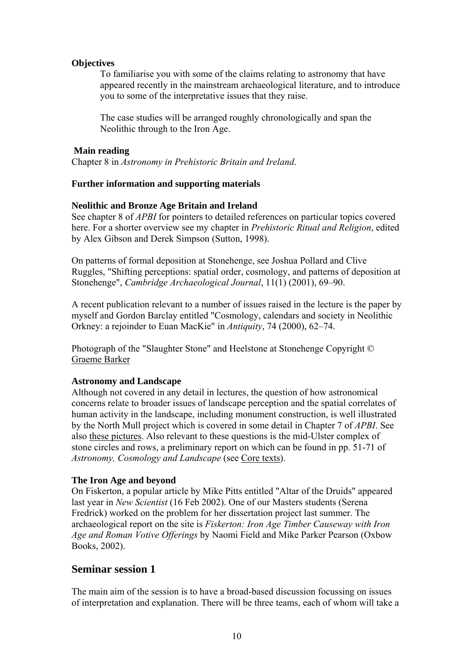## **Objectives**

To familiarise you with some of the claims relating to astronomy that have appeared recently in the mainstream archaeological literature, and to introduce you to some of the interpretative issues that they raise.

The case studies will be arranged roughly chronologically and span the Neolithic through to the Iron Age.

## **Main reading**

Chapter 8 in *Astronomy in Prehistoric Britain and Ireland*.

## **Further information and supporting materials**

## **Neolithic and Bronze Age Britain and Ireland**

See chapter 8 of *APBI* for pointers to detailed references on particular topics covered here. For a shorter overview see my chapter in *Prehistoric Ritual and Religion*, edited by Alex Gibson and Derek Simpson (Sutton, 1998).

On patterns of formal deposition at Stonehenge, see Joshua Pollard and Clive Ruggles, "Shifting perceptions: spatial order, cosmology, and patterns of deposition at Stonehenge", *Cambridge Archaeological Journal*, 11(1) (2001), 69–90.

A recent publication relevant to a number of issues raised in the lecture is the paper by myself and Gordon Barclay entitled "Cosmology, calendars and society in Neolithic Orkney: a rejoinder to Euan MacKie" in *Antiquity*, 74 (2000), 62–74.

Photograph of the "Slaughter Stone" and Heelstone at Stonehenge Copyright © [Graeme Barker](http://www.le.ac.uk/ar/staff_gb.htm)

## **Astronomy and Landscape**

Although not covered in any detail in lectures, the question of how astronomical concerns relate to broader issues of landscape perception and the spatial correlates of human activity in the landscape, including monument construction, is well illustrated by the North Mull project which is covered in some detail in Chapter 7 of *APBI*. See also [these pictures](http://www.le.ac.uk/has/cr/oldrug/aa/a3015/fotos10.html). Also relevant to these questions is the mid-Ulster complex of stone circles and rows, a preliminary report on which can be found in pp. 51-71 of *Astronomy, Cosmology and Landscape* (see [Core texts](http://www.le.ac.uk/has/cr/oldrug/aa/a3015/booklist.html)).

## **The Iron Age and beyond**

On Fiskerton, a popular article by Mike Pitts entitled "Altar of the Druids" appeared last year in *New Scientist* (16 Feb 2002). One of our Masters students (Serena Fredrick) worked on the problem for her dissertation project last summer. The archaeological report on the site is *Fiskerton: Iron Age Timber Causeway with Iron Age and Roman Votive Offerings* by Naomi Field and Mike Parker Pearson (Oxbow Books, 2002).

## **Seminar session 1**

The main aim of the session is to have a broad-based discussion focussing on issues of interpretation and explanation. There will be three teams, each of whom will take a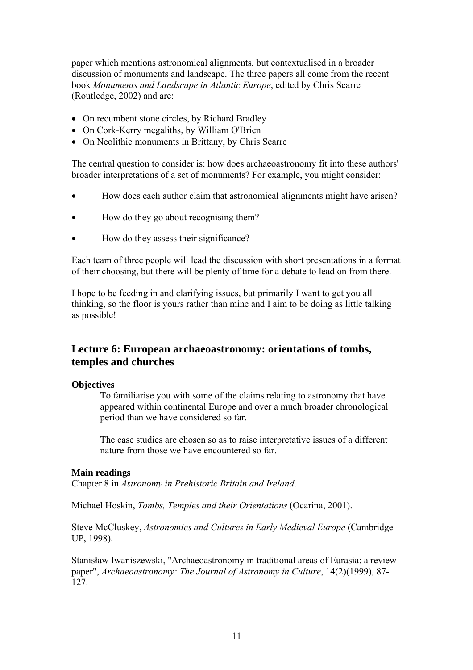paper which mentions astronomical alignments, but contextualised in a broader discussion of monuments and landscape. The three papers all come from the recent book *Monuments and Landscape in Atlantic Europe*, edited by Chris Scarre (Routledge, 2002) and are:

- On recumbent stone circles, by Richard Bradley
- On Cork-Kerry megaliths, by William O'Brien
- On Neolithic monuments in Brittany, by Chris Scarre

The central question to consider is: how does archaeoastronomy fit into these authors' broader interpretations of a set of monuments? For example, you might consider:

- How does each author claim that astronomical alignments might have arisen?
- How do they go about recognising them?
- How do they assess their significance?

Each team of three people will lead the discussion with short presentations in a format of their choosing, but there will be plenty of time for a debate to lead on from there.

I hope to be feeding in and clarifying issues, but primarily I want to get you all thinking, so the floor is yours rather than mine and I aim to be doing as little talking as possible!

## **Lecture 6: European archaeoastronomy: orientations of tombs, temples and churches**

#### **Objectives**

To familiarise you with some of the claims relating to astronomy that have appeared within continental Europe and over a much broader chronological period than we have considered so far.

The case studies are chosen so as to raise interpretative issues of a different nature from those we have encountered so far.

#### **Main readings**

Chapter 8 in *Astronomy in Prehistoric Britain and Ireland*.

Michael Hoskin, *Tombs, Temples and their Orientations* (Ocarina, 2001).

Steve McCluskey, *Astronomies and Cultures in Early Medieval Europe* (Cambridge UP, 1998).

Stanisław Iwaniszewski, "Archaeoastronomy in traditional areas of Eurasia: a review paper", *Archaeoastronomy: The Journal of Astronomy in Culture*, 14(2)(1999), 87- 127.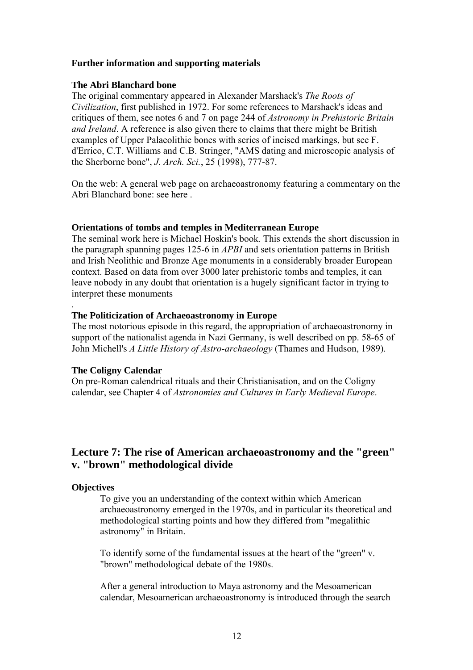### **Further information and supporting materials**

#### **The Abri Blanchard bone**

The original commentary appeared in Alexander Marshack's *The Roots of Civilization*, first published in 1972. For some references to Marshack's ideas and critiques of them, see notes 6 and 7 on page 244 of *Astronomy in Prehistoric Britain and Ireland*. A reference is also given there to claims that there might be British examples of Upper Palaeolithic bones with series of incised markings, but see F. d'Errico, C.T. Williams and C.B. Stringer, "AMS dating and microscopic analysis of the Sherborne bone", *J. Arch. Sci.*, 25 (1998), 777-87.

On the web: A general web page on archaeoastronomy featuring a commentary on the Abri Blanchard bone: see [here](http://www.calacademy.org/calwild/sum99/watcher.htm) .

#### **Orientations of tombs and temples in Mediterranean Europe**

The seminal work here is Michael Hoskin's book. This extends the short discussion in the paragraph spanning pages 125-6 in *APBI* and sets orientation patterns in British and Irish Neolithic and Bronze Age monuments in a considerably broader European context. Based on data from over 3000 later prehistoric tombs and temples, it can leave nobody in any doubt that orientation is a hugely significant factor in trying to interpret these monuments

#### **The Politicization of Archaeoastronomy in Europe**

The most notorious episode in this regard, the appropriation of archaeoastronomy in support of the nationalist agenda in Nazi Germany, is well described on pp. 58-65 of John Michell's *A Little History of Astro-archaeology* (Thames and Hudson, 1989).

## **The Coligny Calendar**

On pre-Roman calendrical rituals and their Christianisation, and on the Coligny calendar, see Chapter 4 of *Astronomies and Cultures in Early Medieval Europe*.

## **Lecture 7: The rise of American archaeoastronomy and the "green" v. "brown" methodological divide**

## **Objectives**

.

To give you an understanding of the context within which American archaeoastronomy emerged in the 1970s, and in particular its theoretical and methodological starting points and how they differed from "megalithic astronomy" in Britain.

To identify some of the fundamental issues at the heart of the "green" v. "brown" methodological debate of the 1980s.

After a general introduction to Maya astronomy and the Mesoamerican calendar, Mesoamerican archaeoastronomy is introduced through the search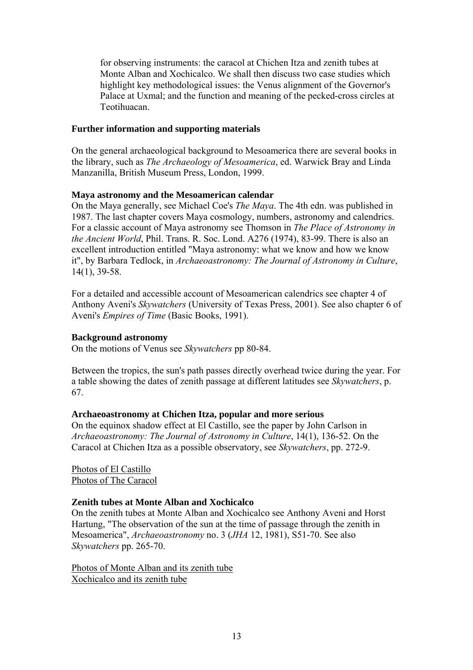for observing instruments: the caracol at Chichen Itza and zenith tubes at Monte Alban and Xochicalco. We shall then discuss two case studies which highlight key methodological issues: the Venus alignment of the Governor's Palace at Uxmal; and the function and meaning of the pecked-cross circles at Teotihuacan.

### **Further information and supporting materials**

On the general archaeological background to Mesoamerica there are several books in the library, such as *The Archaeology of Mesoamerica*, ed. Warwick Bray and Linda Manzanilla, British Museum Press, London, 1999.

## **Maya astronomy and the Mesoamerican calendar**

On the Maya generally, see Michael Coe's *The Maya*. The 4th edn. was published in 1987. The last chapter covers Maya cosmology, numbers, astronomy and calendrics. For a classic account of Maya astronomy see Thomson in *The Place of Astronomy in the Ancient World*, Phil. Trans. R. Soc. Lond. A276 (1974), 83-99. There is also an excellent introduction entitled "Maya astronomy: what we know and how we know it", by Barbara Tedlock, in *Archaeoastronomy: The Journal of Astronomy in Culture*, 14(1), 39-58.

For a detailed and accessible account of Mesoamerican calendrics see chapter 4 of Anthony Aveni's *Skywatchers* (University of Texas Press, 2001). See also chapter 6 of Aveni's *Empires of Time* (Basic Books, 1991).

### **Background astronomy**

On the motions of Venus see *Skywatchers* pp 80-84.

Between the tropics, the sun's path passes directly overhead twice during the year. For a table showing the dates of zenith passage at different latitudes see *Skywatchers*, p. 67.

## **Archaeoastronomy at Chichen Itza, popular and more serious**

On the equinox shadow effect at El Castillo, see the paper by John Carlson in *Archaeoastronomy: The Journal of Astronomy in Culture*, 14(1), 136-52. On the Caracol at Chichen Itza as a possible observatory, see *Skywatchers*, pp. 272-9.

[Photos of El Castillo](http://www.le.ac.uk/has/cr/oldrug/aa/a3015/fotos11.html) [Photos of The Caracol](http://www.le.ac.uk/has/cr/oldrug/aa/a3015/fotos12.html)

## **Zenith tubes at Monte Alban and Xochicalco**

On the zenith tubes at Monte Alban and Xochicalco see Anthony Aveni and Horst Hartung, "The observation of the sun at the time of passage through the zenith in Mesoamerica", *Archaeoastronomy* no. 3 (*JHA* 12, 1981), S51-70. See also *Skywatchers* pp. 265-70.

[Photos of Monte Alban and its zenith tube](http://www.le.ac.uk/has/cr/oldrug/aa/a3015/fotos13.html) [Xochicalco and its zenith tube](http://www.le.ac.uk/has/cr/oldrug/aa/a3015/fotos14.html)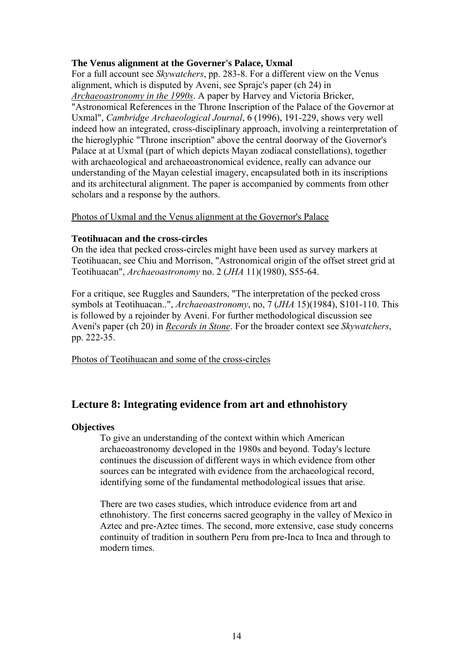## **The Venus alignment at the Governer's Palace, Uxmal**

For a full account see *Skywatchers*, pp. 283-8. For a different view on the Venus alignment, which is disputed by Aveni, see Sprajc's paper (ch 24) in *[Archaeoastronomy in the 1990s](http://www.le.ac.uk/has/cr/oldrug/aa/bib/i6.html)*. A paper by Harvey and Victoria Bricker, "Astronomical References in the Throne Inscription of the Palace of the Governor at Uxmal", *Cambridge Archaeological Journal*, 6 (1996), 191-229, shows very well indeed how an integrated, cross-disciplinary approach, involving a reinterpretation of the hieroglyphic "Throne inscription" above the central doorway of the Governor's Palace at at Uxmal (part of which depicts Mayan zodiacal constellations), together with archaeological and archaeoastronomical evidence, really can advance our understanding of the Mayan celestial imagery, encapsulated both in its inscriptions and its architectural alignment. The paper is accompanied by comments from other scholars and a response by the authors.

## [Photos of Uxmal and the Venus alignment at the Governor's Palace](http://www.le.ac.uk/has/cr/oldrug/aa/a3015/fotos15.html)

## **Teotihuacan and the cross-circles**

On the idea that pecked cross-circles might have been used as survey markers at Teotihuacan, see Chiu and Morrison, "Astronomical origin of the offset street grid at Teotihuacan", *Archaeoastronomy* no. 2 (*JHA* 11)(1980), S55-64.

For a critique, see Ruggles and Saunders, "The interpretation of the pecked cross symbols at Teotihuacan..", *Archaeoastronomy*, no, 7 (*JHA* 15)(1984), S101-110. This is followed by a rejoinder by Aveni. For further methodological discussion see Aveni's paper (ch 20) in *[Records in Stone](http://www.le.ac.uk/has/cr/oldrug/aa/bib/i4.html)*. For the broader context see *Skywatchers*, pp. 222-35.

[Photos of Teotihuacan and some of the cross-circles](http://www.le.ac.uk/has/cr/oldrug/aa/a3015/fotos16.html)

## **Lecture 8: Integrating evidence from art and ethnohistory**

## **Objectives**

To give an understanding of the context within which American archaeoastronomy developed in the 1980s and beyond. Today's lecture continues the discussion of different ways in which evidence from other sources can be integrated with evidence from the archaeological record, identifying some of the fundamental methodological issues that arise.

There are two cases studies, which introduce evidence from art and ethnohistory. The first concerns sacred geography in the valley of Mexico in Aztec and pre-Aztec times. The second, more extensive, case study concerns continuity of tradition in southern Peru from pre-Inca to Inca and through to modern times.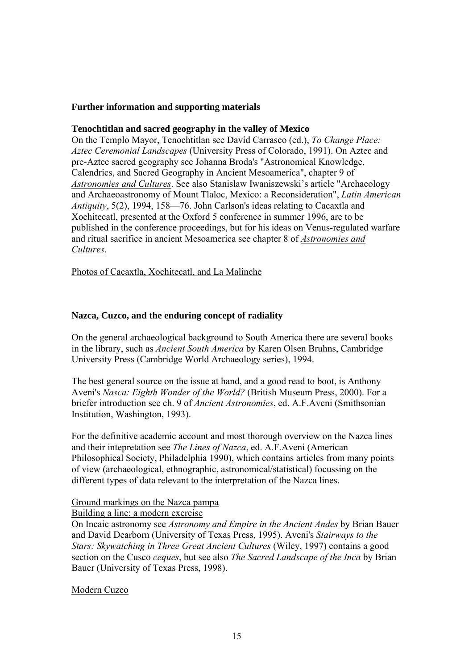## **Further information and supporting materials**

## **Tenochtitlan and sacred geography in the valley of Mexico**

On the Templo Mayor, Tenochtitlan see Davíd Carrasco (ed.), *To Change Place: Aztec Ceremonial Landscapes* (University Press of Colorado, 1991). On Aztec and pre-Aztec sacred geography see Johanna Broda's "Astronomical Knowledge, Calendrics, and Sacred Geography in Ancient Mesoamerica", chapter 9 of *[Astronomies and Cultures](http://www.le.ac.uk/has/cr/oldrug/aa/bib/i5.html)*. See also Stanislaw Iwaniszewski's article "Archaeology and Archaeoastronomy of Mount Tlaloc, Mexico: a Reconsideration", *Latin American Antiquity*, 5(2), 1994, 158—76. John Carlson's ideas relating to Cacaxtla and Xochitecatl, presented at the Oxford 5 conference in summer 1996, are to be published in the conference proceedings, but for his ideas on Venus-regulated warfare and ritual sacrifice in ancient Mesoamerica see chapter 8 of *[Astronomies and](http://www.le.ac.uk/has/cr/oldrug/aa/bib/i5.html)  [Cultures](http://www.le.ac.uk/has/cr/oldrug/aa/bib/i5.html)*.

## [Photos of Cacaxtla, Xochitecatl, and La Malinche](http://www.le.ac.uk/has/cr/oldrug/aa/a3015/fotos20.html)

## **Nazca, Cuzco, and the enduring concept of radiality**

On the general archaeological background to South America there are several books in the library, such as *Ancient South America* by Karen Olsen Bruhns, Cambridge University Press (Cambridge World Archaeology series), 1994.

The best general source on the issue at hand, and a good read to boot, is Anthony Aveni's *Nasca: Eighth Wonder of the World?* (British Museum Press, 2000). For a briefer introduction see ch. 9 of *Ancient Astronomies*, ed. A.F.Aveni (Smithsonian Institution, Washington, 1993).

For the definitive academic account and most thorough overview on the Nazca lines and their intepretation see *The Lines of Nazca*, ed. A.F.Aveni (American Philosophical Society, Philadelphia 1990), which contains articles from many points of view (archaeological, ethnographic, astronomical/statistical) focussing on the different types of data relevant to the interpretation of the Nazca lines.

## [Ground markings on the Nazca pampa](http://www.le.ac.uk/has/cr/oldrug/aa/a3015/fotos17.html)

## [Building a line: a modern exercise](http://www.le.ac.uk/has/cr/oldrug/aa/a3015/fotos18.html)

On Incaic astronomy see *Astronomy and Empire in the Ancient Andes* by Brian Bauer and David Dearborn (University of Texas Press, 1995). Aveni's *Stairways to the Stars: Skywatching in Three Great Ancient Cultures* (Wiley, 1997) contains a good section on the Cusco *ceques*, but see also *The Sacred Landscape of the Inca* by Brian Bauer (University of Texas Press, 1998).

[Modern Cuzco](http://www.le.ac.uk/has/cr/oldrug/aa/a3015/fotos19.html)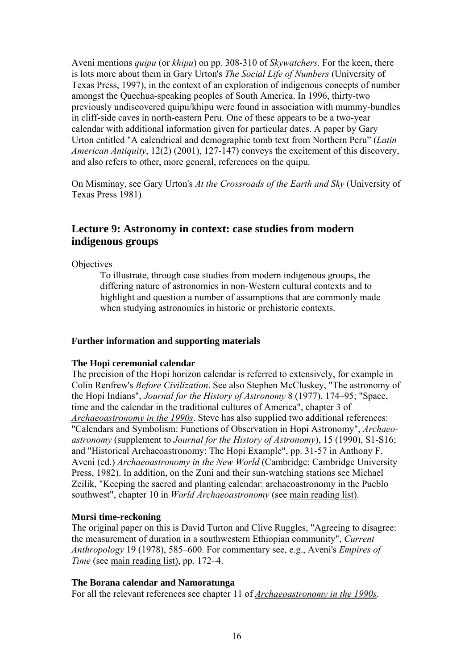Aveni mentions *quipu* (or *khipu*) on pp. 308-310 of *Skywatchers*. For the keen, there is lots more about them in Gary Urton's *The Social Life of Numbers* (University of Texas Press, 1997), in the context of an exploration of indigenous concepts of number amongst the Quechua-speaking peoples of South America. In 1996, thirty-two previously undiscovered quipu/khipu were found in association with mummy-bundles in cliff-side caves in north-eastern Peru. One of these appears to be a two-year calendar with additional information given for particular dates. A paper by Gary Urton entitled "A calendrical and demographic tomb text from Northern Peru" (*Latin American Antiquity*, 12(2) (2001), 127-147) conveys the excitement of this discovery, and also refers to other, more general, references on the quipu.

On Misminay, see Gary Urton's *At the Crossroads of the Earth and Sky* (University of Texas Press 1981).

## **Lecture 9: Astronomy in context: case studies from modern indigenous groups**

**Objectives** 

To illustrate, through case studies from modern indigenous groups, the differing nature of astronomies in non-Western cultural contexts and to highlight and question a number of assumptions that are commonly made when studying astronomies in historic or prehistoric contexts.

## **Further information and supporting materials**

## **The Hopi ceremonial calendar**

The precision of the Hopi horizon calendar is referred to extensively, for example in Colin Renfrew's *Before Civilization*. See also Stephen McCluskey, "The astronomy of the Hopi Indians", *Journal for the History of Astronomy* 8 (1977), 174–95; "Space, time and the calendar in the traditional cultures of America", chapter 3 of *[Archaeoastronomy in the 1990s](http://www.le.ac.uk/has/cr/oldrug/aa/bib/i6.html)*. Steve has also supplied two additional references: "Calendars and Symbolism: Functions of Observation in Hopi Astronomy", *Archaeoastronomy* (supplement to *Journal for the History of Astronomy*), 15 (1990), S1-S16; and "Historical Archaeoastronomy: The Hopi Example", pp. 31-57 in Anthony F. Aveni (ed.) *Archaeoastronomy in the New World* (Cambridge: Cambridge University Press, 1982). In addition, on the Zuni and their sun-watching stations see Michael Zeilik, "Keeping the sacred and planting calendar: archaeoastronomy in the Pueblo southwest", chapter 10 in *World Archaeoastronomy* (see [main reading list\).](http://www.le.ac.uk/has/cr/oldrug/aa/a3015/booklist.html)

## **Mursi time-reckoning**

The original paper on this is David Turton and Clive Ruggles, "Agreeing to disagree: the measurement of duration in a southwestern Ethiopian community", *Current Anthropology* 19 (1978), 585–600. For commentary see, e.g., Aveni's *Empires of Time* (see [main reading list\)](http://www.le.ac.uk/has/cr/oldrug/aa/a3015/booklist.html), pp. 172–4.

## **The Borana calendar and Namoratunga**

For all the relevant references see chapter 11 of *[Archaeoastronomy in the 1990s](http://www.le.ac.uk/has/cr/oldrug/aa/bib/i6.html)*.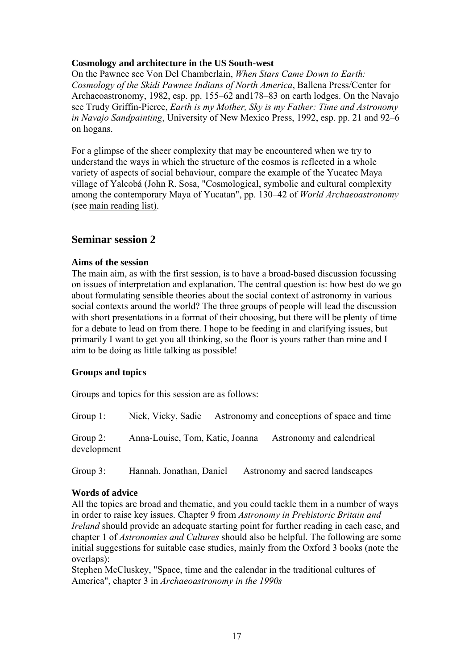## **Cosmology and architecture in the US South-west**

On the Pawnee see Von Del Chamberlain, *When Stars Came Down to Earth: Cosmology of the Skidi Pawnee Indians of North America*, Ballena Press/Center for Archaeoastronomy, 1982, esp. pp. 155–62 and178–83 on earth lodges. On the Navajo see Trudy Griffin-Pierce, *Earth is my Mother, Sky is my Father: Time and Astronomy in Navajo Sandpainting*, University of New Mexico Press, 1992, esp. pp. 21 and 92–6 on hogans.

For a glimpse of the sheer complexity that may be encountered when we try to understand the ways in which the structure of the cosmos is reflected in a whole variety of aspects of social behaviour, compare the example of the Yucatec Maya village of Yalcobá (John R. Sosa, "Cosmological, symbolic and cultural complexity among the contemporary Maya of Yucatan", pp. 130–42 of *World Archaeoastronomy* (see [main reading list\).](http://www.le.ac.uk/has/cr/oldrug/aa/a3015/booklist.html)

## **Seminar session 2**

## **Aims of the session**

The main aim, as with the first session, is to have a broad-based discussion focussing on issues of interpretation and explanation. The central question is: how best do we go about formulating sensible theories about the social context of astronomy in various social contexts around the world? The three groups of people will lead the discussion with short presentations in a format of their choosing, but there will be plenty of time for a debate to lead on from there. I hope to be feeding in and clarifying issues, but primarily I want to get you all thinking, so the floor is yours rather than mine and I aim to be doing as little talking as possible!

## **Groups and topics**

Groups and topics for this session are as follows:

Group 1: Nick, Vicky, Sadie Astronomy and conceptions of space and time

Group 2: Anna-Louise, Tom, Katie, Joanna Astronomy and calendrical development

Group 3: Hannah, Jonathan, Daniel Astronomy and sacred landscapes

## **Words of advice**

All the topics are broad and thematic, and you could tackle them in a number of ways in order to raise key issues. Chapter 9 from *Astronomy in Prehistoric Britain and Ireland* should provide an adequate starting point for further reading in each case, and chapter 1 of *Astronomies and Cultures* should also be helpful. The following are some initial suggestions for suitable case studies, mainly from the Oxford 3 books (note the overlaps):

Stephen McCluskey, "Space, time and the calendar in the traditional cultures of America", chapter 3 in *Archaeoastronomy in the 1990s*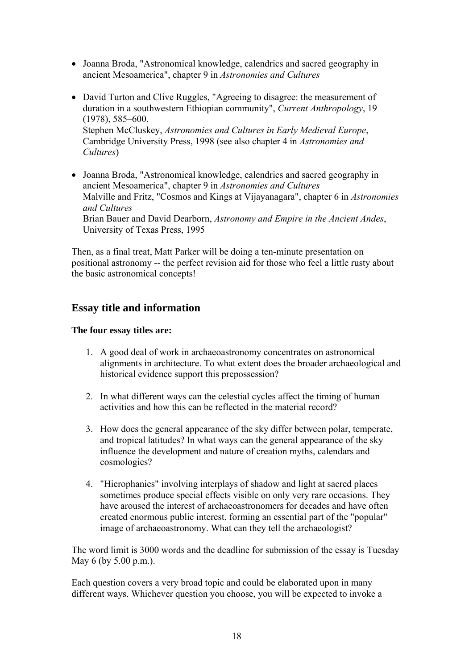- Joanna Broda, "Astronomical knowledge, calendrics and sacred geography in ancient Mesoamerica", chapter 9 in *Astronomies and Cultures*
- David Turton and Clive Ruggles, "Agreeing to disagree: the measurement of duration in a southwestern Ethiopian community", *Current Anthropology*, 19 (1978), 585–600. Stephen McCluskey, *Astronomies and Cultures in Early Medieval Europe*, Cambridge University Press, 1998 (see also chapter 4 in *Astronomies and Cultures*)
- Joanna Broda, "Astronomical knowledge, calendrics and sacred geography in ancient Mesoamerica", chapter 9 in *Astronomies and Cultures* Malville and Fritz, "Cosmos and Kings at Vijayanagara", chapter 6 in *Astronomies and Cultures* Brian Bauer and David Dearborn, *Astronomy and Empire in the Ancient Andes*, University of Texas Press, 1995

Then, as a final treat, Matt Parker will be doing a ten-minute presentation on positional astronomy -- the perfect revision aid for those who feel a little rusty about the basic astronomical concepts!

## **Essay title and information**

## **The four essay titles are:**

- 1. A good deal of work in archaeoastronomy concentrates on astronomical alignments in architecture. To what extent does the broader archaeological and historical evidence support this prepossession?
- 2. In what different ways can the celestial cycles affect the timing of human activities and how this can be reflected in the material record?
- 3. How does the general appearance of the sky differ between polar, temperate, and tropical latitudes? In what ways can the general appearance of the sky influence the development and nature of creation myths, calendars and cosmologies?
- 4. "Hierophanies" involving interplays of shadow and light at sacred places sometimes produce special effects visible on only very rare occasions. They have aroused the interest of archaeoastronomers for decades and have often created enormous public interest, forming an essential part of the "popular" image of archaeoastronomy. What can they tell the archaeologist?

The word limit is 3000 words and the deadline for submission of the essay is Tuesday May 6 (by 5.00 p.m.).

Each question covers a very broad topic and could be elaborated upon in many different ways. Whichever question you choose, you will be expected to invoke a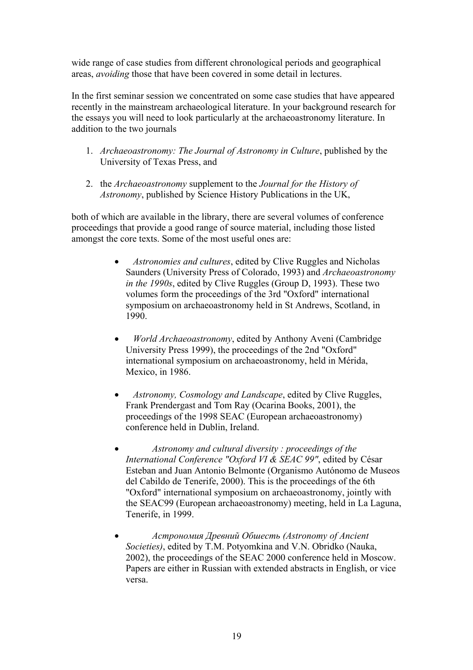wide range of case studies from different chronological periods and geographical areas, *avoiding* those that have been covered in some detail in lectures.

In the first seminar session we concentrated on some case studies that have appeared recently in the mainstream archaeological literature. In your background research for the essays you will need to look particularly at the archaeoastronomy literature. In addition to the two journals

- 1. *Archaeoastronomy: The Journal of Astronomy in Culture*, published by the University of Texas Press, and
- 2. the *Archaeoastronomy* supplement to the *Journal for the History of Astronomy*, published by Science History Publications in the UK,

both of which are available in the library, there are several volumes of conference proceedings that provide a good range of source material, including those listed amongst the core texts. Some of the most useful ones are:

- *Astronomies and cultures*, edited by Clive Ruggles and Nicholas Saunders (University Press of Colorado, 1993) and *Archaeoastronomy in the 1990s*, edited by Clive Ruggles (Group D, 1993). These two volumes form the proceedings of the 3rd "Oxford" international symposium on archaeoastronomy held in St Andrews, Scotland, in 1990.
- *World Archaeoastronomy*, edited by Anthony Aveni (Cambridge University Press 1999), the proceedings of the 2nd "Oxford" international symposium on archaeoastronomy, held in Mérida, Mexico, in 1986.
- *Astronomy, Cosmology and Landscape*, edited by Clive Ruggles, Frank Prendergast and Tom Ray (Ocarina Books, 2001), the proceedings of the 1998 SEAC (European archaeoastronomy) conference held in Dublin, Ireland.
- *Astronomy and cultural diversity : proceedings of the International Conference "Oxford VI & SEAC 99"*, edited by César Esteban and Juan Antonio Belmonte (Organismo Autónomo de Museos del Cabildo de Tenerife, 2000). This is the proceedings of the 6th "Oxford" international symposium on archaeoastronomy, jointly with the SEAC99 (European archaeoastronomy) meeting, held in La Laguna, Tenerife, in 1999.
- *Астрономия Древний Обшесть (Astronomy of Ancient Societies)*, edited by T.M. Potyomkina and V.N. Obridko (Nauka, 2002), the proceedings of the SEAC 2000 conference held in Moscow. Papers are either in Russian with extended abstracts in English, or vice versa.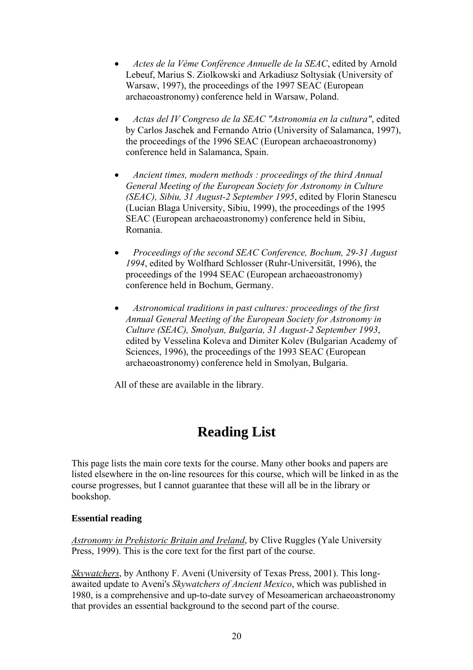- *Actes de la Vème Conférence Annuelle de la SEAC*, edited by Arnold Lebeuf, Marius S. Ziolkowski and Arkadiusz Soltysiak (University of Warsaw, 1997), the proceedings of the 1997 SEAC (European archaeoastronomy) conference held in Warsaw, Poland.
- *Actas del IV Congreso de la SEAC "Astronomia en la cultura"*, edited by Carlos Jaschek and Fernando Atrio (University of Salamanca, 1997), the proceedings of the 1996 SEAC (European archaeoastronomy) conference held in Salamanca, Spain.
- *Ancient times, modern methods : proceedings of the third Annual General Meeting of the European Society for Astronomy in Culture (SEAC), Sibiu, 31 August-2 September 1995*, edited by Florin Stanescu (Lucian Blaga University, Sibiu, 1999), the proceedings of the 1995 SEAC (European archaeoastronomy) conference held in Sibiu, Romania.
- *Proceedings of the second SEAC Conference, Bochum, 29-31 August 1994*, edited by Wolfhard Schlosser (Ruhr-Universität, 1996), the proceedings of the 1994 SEAC (European archaeoastronomy) conference held in Bochum, Germany.
- *Astronomical traditions in past cultures: proceedings of the first Annual General Meeting of the European Society for Astronomy in Culture (SEAC), Smolyan, Bulgaria, 31 August-2 September 1993*, edited by Vesselina Koleva and Dimiter Kolev (Bulgarian Academy of Sciences, 1996), the proceedings of the 1993 SEAC (European archaeoastronomy) conference held in Smolyan, Bulgaria.

All of these are available in the library.

# **Reading List**

This page lists the main core texts for the course. Many other books and papers are listed elsewhere in the on-line resources for this course, which will be linked in as the course progresses, but I cannot guarantee that these will all be in the library or bookshop.

## **Essential reading**

*[Astronomy in Prehistoric Britain and Ireland](http://www.yale.edu/yup/books/078145.htm)*, by Clive Ruggles (Yale University Press, 1999). This is the core text for the first part of the course.

*[Skywatchers](http://www.utexas.edu/utpress/books/avesk2.html)*, by Anthony F. Aveni (University of Texas Press, 2001). This longawaited update to Aveni's *Skywatchers of Ancient Mexico*, which was published in 1980, is a comprehensive and up-to-date survey of Mesoamerican archaeoastronomy that provides an essential background to the second part of the course.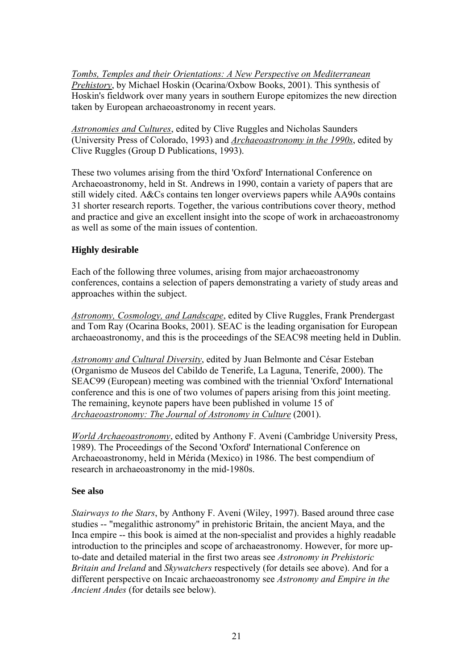*[Tombs, Temples and their Orientations: A New Perspective on Mediterranean](http://www.oxbowbooks.com/bookinfo.cfm?CFID=4321437&CFTOKEN=82818925&ID=31701)  [Prehistory](http://www.oxbowbooks.com/bookinfo.cfm?CFID=4321437&CFTOKEN=82818925&ID=31701)*, by Michael Hoskin (Ocarina/Oxbow Books, 2001). This synthesis of Hoskin's fieldwork over many years in southern Europe epitomizes the new direction taken by European archaeoastronomy in recent years.

*[Astronomies and Cultures](http://www.le.ac.uk/has/cr/oldrug/aa/bib/i5.html)*, edited by Clive Ruggles and Nicholas Saunders (University Press of Colorado, 1993) and *[Archaeoastronomy in the 1990s](http://www.le.ac.uk/has/cr/oldrug/aa/bib/i6.html)*, edited by Clive Ruggles (Group D Publications, 1993).

These two volumes arising from the third 'Oxford' International Conference on Archaeoastronomy, held in St. Andrews in 1990, contain a variety of papers that are still widely cited. A&Cs contains ten longer overviews papers while AA90s contains 31 shorter research reports. Together, the various contributions cover theory, method and practice and give an excellent insight into the scope of work in archaeoastronomy as well as some of the main issues of contention.

## **Highly desirable**

Each of the following three volumes, arising from major archaeoastronomy conferences, contains a selection of papers demonstrating a variety of study areas and approaches within the subject.

*[Astronomy, Cosmology, and Landscape](http://www.oxbowbooks.com/bookinfo.cfm?CFID=4321437&CFTOKEN=82818925&ID=31707)*, edited by Clive Ruggles, Frank Prendergast and Tom Ray (Ocarina Books, 2001). SEAC is the leading organisation for European archaeoastronomy, and this is the proceedings of the SEAC98 meeting held in Dublin.

*Astronomy and Cultural Diversity*, edited by Juan Belmonte and César Esteban (Organismo de Museos del Cabildo de Tenerife, La Laguna, Tenerife, 2000). The SEAC99 (European) meeting was combined with the triennial 'Oxford' International conference and this is one of two volumes of papers arising from this joint meeting. The remaining, keynote papers have been published in volume 15 of *[Archaeoastronomy: The Journal of Astronomy in Culture](http://www.wam.umd.edu/~tlaloc/archastro/journal.html)* (2001).

*World Archaeoastronomy*, edited by Anthony F. Aveni (Cambridge University Press, 1989). The Proceedings of the Second 'Oxford' International Conference on Archaeoastronomy, held in Mérida (Mexico) in 1986. The best compendium of research in archaeoastronomy in the mid-1980s.

## **See also**

*Stairways to the Stars*, by Anthony F. Aveni (Wiley, 1997). Based around three case studies -- "megalithic astronomy" in prehistoric Britain, the ancient Maya, and the Inca empire -- this book is aimed at the non-specialist and provides a highly readable introduction to the principles and scope of archaeastronomy. However, for more upto-date and detailed material in the first two areas see *Astronomy in Prehistoric Britain and Ireland* and *Skywatchers* respectively (for details see above). And for a different perspective on Incaic archaeoastronomy see *Astronomy and Empire in the Ancient Andes* (for details see below).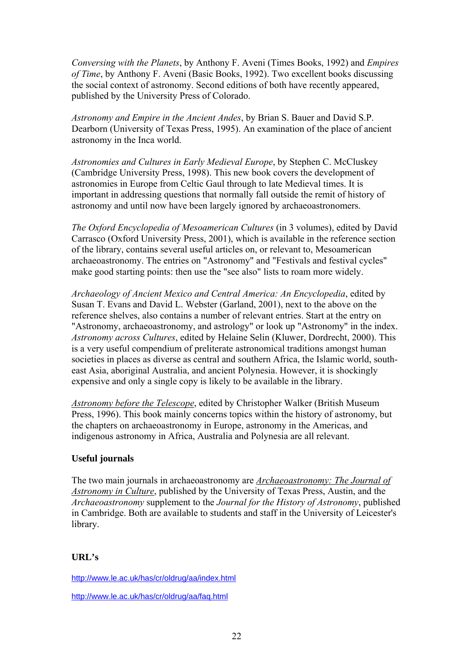*Conversing with the Planets*, by Anthony F. Aveni (Times Books, 1992) and *Empires of Time*, by Anthony F. Aveni (Basic Books, 1992). Two excellent books discussing the social context of astronomy. Second editions of both have recently appeared, published by the University Press of Colorado.

*Astronomy and Empire in the Ancient Andes*, by Brian S. Bauer and David S.P. Dearborn (University of Texas Press, 1995). An examination of the place of ancient astronomy in the Inca world.

*Astronomies and Cultures in Early Medieval Europe*, by Stephen C. McCluskey (Cambridge University Press, 1998). This new book covers the development of astronomies in Europe from Celtic Gaul through to late Medieval times. It is important in addressing questions that normally fall outside the remit of history of astronomy and until now have been largely ignored by archaeoastronomers.

*The Oxford Encyclopedia of Mesoamerican Cultures* (in 3 volumes), edited by Davíd Carrasco (Oxford University Press, 2001), which is available in the reference section of the library, contains several useful articles on, or relevant to, Mesoamerican archaeoastronomy. The entries on "Astronomy" and "Festivals and festival cycles" make good starting points: then use the "see also" lists to roam more widely.

*Archaeology of Ancient Mexico and Central America: An Encyclopedia*, edited by Susan T. Evans and David L. Webster (Garland, 2001), next to the above on the reference shelves, also contains a number of relevant entries. Start at the entry on "Astronomy, archaeoastronomy, and astrology" or look up "Astronomy" in the index. *Astronomy across Cultures*, edited by Helaine Selin (Kluwer, Dordrecht, 2000). This is a very useful compendium of preliterate astronomical traditions amongst human societies in places as diverse as central and southern Africa, the Islamic world, southeast Asia, aboriginal Australia, and ancient Polynesia. However, it is shockingly expensive and only a single copy is likely to be available in the library.

*[Astronomy before the Telescope](http://www.oxbowbooks.com/bookinfo.cfm?CFID=4321437&CFTOKEN=82818925&ID=15521)*, edited by Christopher Walker (British Museum Press, 1996). This book mainly concerns topics within the history of astronomy, but the chapters on archaeoastronomy in Europe, astronomy in the Americas, and indigenous astronomy in Africa, Australia and Polynesia are all relevant.

## **Useful journals**

The two main journals in archaeoastronomy are *[Archaeoastronomy: The Journal of](http://www.wam.umd.edu/~tlaloc/archastro/journal.html)  [Astronomy in Culture](http://www.wam.umd.edu/~tlaloc/archastro/journal.html)*, published by the University of Texas Press, Austin, and the *Archaeoastronomy* supplement to the *Journal for the History of Astronomy*, published in Cambridge. Both are available to students and staff in the University of Leicester's library.

## **URL's**

<http://www.le.ac.uk/has/cr/oldrug/aa/index.html>

<http://www.le.ac.uk/has/cr/oldrug/aa/faq.html>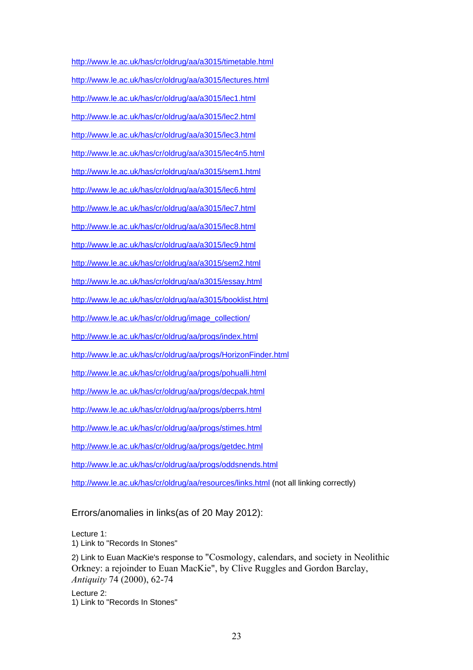<http://www.le.ac.uk/has/cr/oldrug/aa/a3015/timetable.html> <http://www.le.ac.uk/has/cr/oldrug/aa/a3015/lectures.html> <http://www.le.ac.uk/has/cr/oldrug/aa/a3015/lec1.html> <http://www.le.ac.uk/has/cr/oldrug/aa/a3015/lec2.html> <http://www.le.ac.uk/has/cr/oldrug/aa/a3015/lec3.html> <http://www.le.ac.uk/has/cr/oldrug/aa/a3015/lec4n5.html> <http://www.le.ac.uk/has/cr/oldrug/aa/a3015/sem1.html> <http://www.le.ac.uk/has/cr/oldrug/aa/a3015/lec6.html> <http://www.le.ac.uk/has/cr/oldrug/aa/a3015/lec7.html> <http://www.le.ac.uk/has/cr/oldrug/aa/a3015/lec8.html> <http://www.le.ac.uk/has/cr/oldrug/aa/a3015/lec9.html> <http://www.le.ac.uk/has/cr/oldrug/aa/a3015/sem2.html> <http://www.le.ac.uk/has/cr/oldrug/aa/a3015/essay.html> <http://www.le.ac.uk/has/cr/oldrug/aa/a3015/booklist.html> [http://www.le.ac.uk/has/cr/oldrug/image\\_collection/](http://www.le.ac.uk/has/cr/oldrug/image_collection/) <http://www.le.ac.uk/has/cr/oldrug/aa/progs/index.html> <http://www.le.ac.uk/has/cr/oldrug/aa/progs/HorizonFinder.html> <http://www.le.ac.uk/has/cr/oldrug/aa/progs/pohualli.html> <http://www.le.ac.uk/has/cr/oldrug/aa/progs/decpak.html> <http://www.le.ac.uk/has/cr/oldrug/aa/progs/pberrs.html> <http://www.le.ac.uk/has/cr/oldrug/aa/progs/stimes.html> <http://www.le.ac.uk/has/cr/oldrug/aa/progs/getdec.html> <http://www.le.ac.uk/has/cr/oldrug/aa/progs/oddsnends.html> <http://www.le.ac.uk/has/cr/oldrug/aa/resources/links.html>(not all linking correctly)

## Errors/anomalies in links(as of 20 May 2012):

Lecture 1: 1) Link to "Records In Stones" 2) Link to Euan MacKie's response to "Cosmology, calendars, and society in Neolithic Orkney: a rejoinder to Euan MacKie", by Clive Ruggles and Gordon Barclay, *Antiquity* 74 (2000), 62-74

Lecture 2: 1) Link to "Records In Stones"